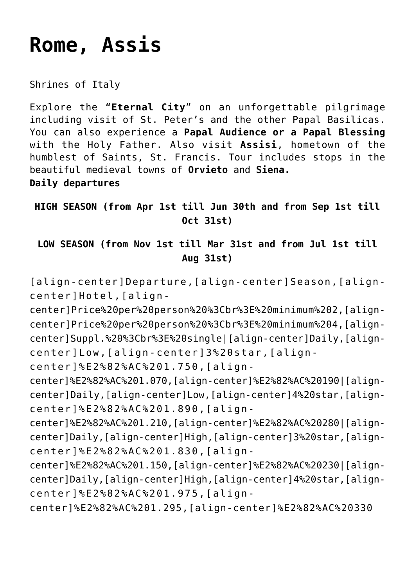# **[Rome, Assis](https://rusconiviaggi.com/tour-item/6-days-private-pilgrimage-to-rome-and-assisi/)**

Shrines of Italy

Explore the "**Eternal City**" on an unforgettable pilgrimage including visit of St. Peter's and the other Papal Basilicas. You can also experience a **Papal Audience or a Papal Blessing** with the Holy Father. Also visit **Assisi**, hometown of the humblest of Saints, St. Francis. Tour includes stops in the beautiful medieval towns of **Orvieto** and **Siena.**

**Daily departures**

**HIGH SEASON (from Apr 1st till Jun 30th and from Sep 1st till Oct 31st)**

**LOW SEASON (from Nov 1st till Mar 31st and from Jul 1st till Aug 31st)**

[align-center]Departure,[align-center]Season,[aligncenter]Hotel,[align-

center]Price%20per%20person%20%3Cbr%3E%20minimum%202,[aligncenter]Price%20per%20person%20%3Cbr%3E%20minimum%204,[aligncenter]Suppl.%20%3Cbr%3E%20single|[align-center]Daily,[aligncenter]Low,[align-center]3%20star,[align-

center]%E2%82%AC%201.750,[align-

center]%E2%82%AC%201.070,[align-center]%E2%82%AC%20190|[aligncenter]Daily,[align-center]Low,[align-center]4%20star,[aligncenter]%E2%82%AC%201.890,[align-

center]%E2%82%AC%201.210,[align-center]%E2%82%AC%20280|[aligncenter]Daily,[align-center]High,[align-center]3%20star,[aligncenter]%E2%82%AC%201.830,[align-

center]%E2%82%AC%201.150,[align-center]%E2%82%AC%20230|[aligncenter]Daily,[align-center]High,[align-center]4%20star,[aligncenter]%E2%82%AC%201.975,[align-

center]%E2%82%AC%201.295,[align-center]%E2%82%AC%20330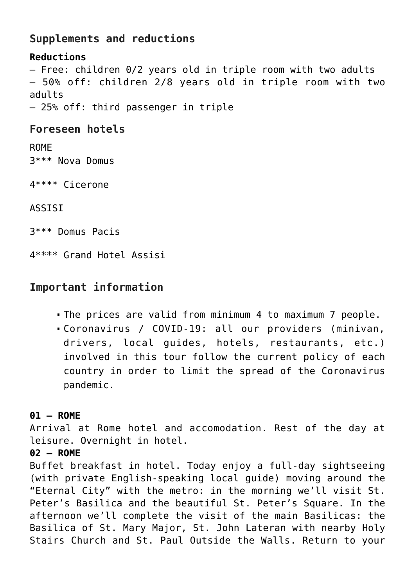# **Supplements and reductions**

## **Reductions** – Free: children 0/2 years old in triple room with two adults – 50% off: children 2/8 years old in triple room with two adults – 25% off: third passenger in triple

# **Foreseen hotels**

ROME 3\*\*\* Nova Domus

4\*\*\*\* Cicerone

ASSISI

3\*\*\* Domus Pacis

4\*\*\*\* Grand Hotel Assisi

# **Important information**

- The prices are valid from minimum 4 to maximum 7 people.
- Coronavirus / COVID-19: all our providers (minivan, drivers, local guides, hotels, restaurants, etc.) involved in this tour follow the current policy of each country in order to limit the spread of the Coronavirus pandemic.

## **01 – ROME**

Arrival at Rome hotel and accomodation. Rest of the day at leisure. Overnight in hotel.

#### **02 – ROME**

Buffet breakfast in hotel. Today enjoy a full-day sightseeing (with private English-speaking local guide) moving around the "Eternal City" with the metro: in the morning we'll visit St. Peter's Basilica and the beautiful St. Peter's Square. In the afternoon we'll complete the visit of the main Basilicas: the Basilica of St. Mary Major, St. John Lateran with nearby Holy Stairs Church and St. Paul Outside the Walls. Return to your